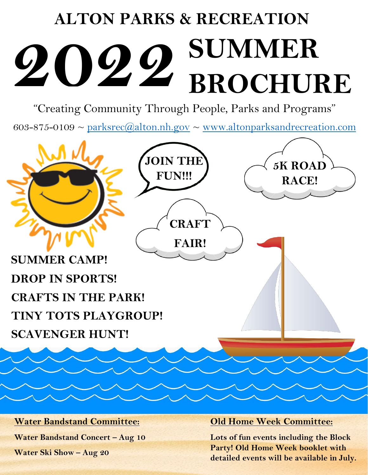# **ALTON PARKS & RECREATION SUMMER BROCHURE 2022**

"Creating Community Through People, Parks and Programs"

603-875-0109  $\sim$  [parksrec@alton.nh.gov](mailto:parksrec@alton.nh.gov)  $\sim$  [www.altonparksandrecreation.com](http://www.altonparksandrecreation.com/)



#### **Water Bandstand Committee:**

**Water Bandstand Concert – Aug 10**

**Water Ski Show – Aug 20**

#### **Old Home Week Committee:**

**Lots of fun events including the Block Party! Old Home Week booklet with detailed events will be available in July.**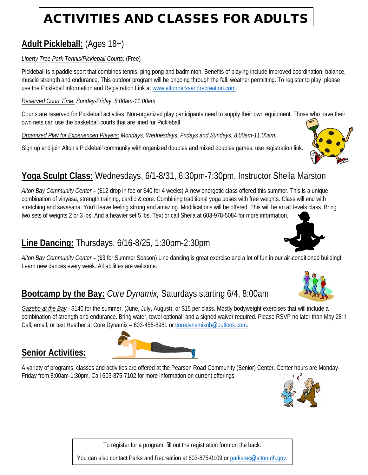# ACTIVITIES AND CLASSES FOR ADULTS

### **Adult Pickleball:** (Ages 18+)

#### *Liberty Tree Park Tennis/Pickleball Courts:* (Free)

Pickleball is a paddle sport that combines tennis, ping pong and badminton. Benefits of playing include improved coordination, balance, muscle strength and endurance. This outdoor program will be ongoing through the fall, weather permitting. To register to play, please use the Pickleball Information and Registration Link a[t www.altonparksandrecreation.com.](http://www.altonparksandrecreation.com/)

#### *Reserved Court Time: Sunday-Friday, 8:00am-11:00am*

Courts are reserved for Pickleball activities. Non-organized play participants need to supply their own equipment. Those who have their own nets can use the basketball courts that are lined for Pickleball.

*Organized Play for Experienced Players: Mondays, Wednesdays, Fridays and Sundays, 8:00am-11:00am.*

Sign up and join Alton's Pickleball community with organized doubles and mixed doubles games, use registration link.



#### **Yoga Sculpt Class:** Wednesdays, 6/1-8/31, 6:30pm-7:30pm, Instructor Sheila Marston

*Alton Bay Community Center* – (\$12 drop in fee or \$40 for 4 weeks) A new energetic class offered this summer. This is a unique combination of vinyasa, strength training, cardio & core. Combining traditional yoga poses with free weights. Class will end with stretching and savasana. You'll leave feeling strong and amazing. Modifications will be offered. This will be an all levels class. Bring two sets of weights 2 or 3 lbs. And a heavier set 5 lbs. Text or call Sheila at 603-978-5084 for more information.

#### **Line Dancing:** Thursdays, 6/16-8/25, 1:30pm-2:30pm

*Alton Bay Community Center* – (\$3 for Summer Season) Line dancing is great exercise and a lot of fun in our air-conditioned building! Learn new dances every week. All abilities are welcome.

#### **Bootcamp by the Bay:** *Core Dynamix,* Saturdays starting 6/4, 8:00am

*Gazebo at the Bay* - \$140 for the summer, (June, July, August), or \$15 per class. Mostly bodyweight exercises that will include a combination of strength and endurance. Bring water, towel optional, and a signed waiver required. Please RSVP no later than May 28<sup>th</sup>! Call, email, or text Heather at Core Dynamix – 603-455-8981 o[r coredynamixnh@outlook.com.](mailto:coredynamixnh@outlook.com)

#### **Senior Activities:**

A variety of programs, classes and activities are offered at the Pearson Road Community (Senior) Center. Center hours are Monday-Friday from 8:00am-1:30pm. Call 603-875-7102 for more information on current offerings.



To register for a program, fill out the registration form on the back.

You can also contact Parks and Recreation at 603-875-0109 or [parksrec@alton.nh.gov.](mailto:parksrec@alton.nh.gov)



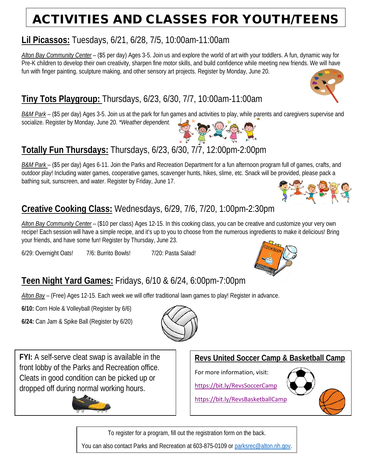# ACTIVITIES AND CLASSES FOR YOUTH/TEENS

#### **Lil Picassos:** Tuesdays, 6/21, 6/28, 7/5, 10:00am-11:00am

*Alton Bay Community Center* – (\$5 per day) Ages 3-5. Join us and explore the world of art with your toddlers. A fun, dynamic way for Pre-K children to develop their own creativity, sharpen fine motor skills, and build confidence while meeting new friends. We will have fun with finger painting, sculpture making, and other sensory art projects. Register by Monday, June 20.

## **Tiny Tots Playgroup:** Thursdays, 6/23, 6/30, 7/7, 10:00am-11:00am

*B&M Park* – (\$5 per day) Ages 3-5. Join us at the park for fun games and activities to play, while parents and caregivers supervise and socialize. Register by Monday, June 20. *\*Weather dependent.*

## **Totally Fun Thursdays:** Thursdays, 6/23, 6/30, 7/7, 12:00pm-2:00pm

*B&M Park* – (\$5 per day) Ages 6-11. Join the Parks and Recreation Department for a fun afternoon program full of games, crafts, and outdoor play! Including water games, cooperative games, scavenger hunts, hikes, slime, etc. Snack will be provided, please pack a bathing suit, sunscreen, and water. Register by Friday, June 17.

## **Creative Cooking Class:** Wednesdays, 6/29, 7/6, 7/20, 1:00pm-2:30pm

*Alton Bay Community Center* – (\$10 per class) Ages 12-15. In this cooking class, you can be creative and customize your very own recipe! Each session will have a simple recipe, and it's up to you to choose from the numerous ingredients to make it delicious! Bring your friends, and have some fun! Register by Thursday, June 23.

6/29: Overnight Oats! 7/6: Burrito Bowls! 7/20: Pasta Salad!

## **Teen Night Yard Games:** Fridays, 6/10 & 6/24, 6:00pm-7:00pm

*Alton Bay* – (Free) Ages 12-15. Each week we will offer traditional lawn games to play! Register in advance.

**6/10:** Corn Hole & Volleyball (Register by 6/6)

**6/24:** Can Jam & Spike Ball (Register by 6/20)

**FYI:** A self-serve cleat swap is available in the front lobby of the Parks and Recreation office. Cleats in good condition can be picked up or dropped off during normal working hours.

#### **Revs United Soccer Camp & Basketball Camp**

For more information, visit:

<https://bit.ly/RevsSoccerCamp>



<https://bit.ly/RevsBasketballCamp>

To register for a program, fill out the registration form on the back.





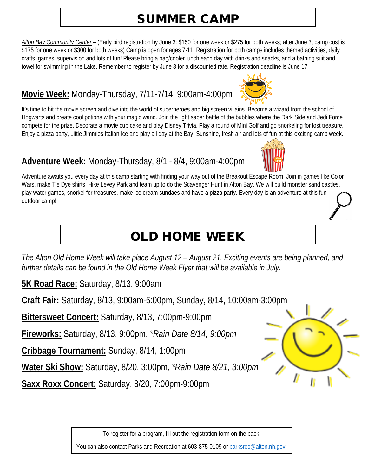# SUMMER CAMP

*Alton Bay Community Center* – (Early bird registration by June 3: \$150 for one week or \$275 for both weeks; after June 3, camp cost is \$175 for one week or \$300 for both weeks) Camp is open for ages 7-11. Registration for both camps includes themed activities, daily crafts, games, supervision and lots of fun! Please bring a bag/cooler lunch each day with drinks and snacks, and a bathing suit and towel for swimming in the Lake. Remember to register by June 3 for a discounted rate. Registration deadline is June 17.

#### **Movie Week:** Monday-Thursday, 7/11-7/14, 9:00am-4:00pm

It's time to hit the movie screen and dive into the world of superheroes and big screen villains. Become a wizard from the school of Hogwarts and create cool potions with your magic wand. Join the light saber battle of the bubbles where the Dark Side and Jedi Force compete for the prize. Decorate a movie cup cake and play Disney Trivia. Play a round of Mini Golf and go snorkeling for lost treasure. Enjoy a pizza party, Little Jimmies Italian Ice and play all day at the Bay. Sunshine, fresh air and lots of fun at this exciting camp week.

#### **Adventure Week:** Monday-Thursday, 8/1 - 8/4, 9:00am-4:00pm

Adventure awaits you every day at this camp starting with finding your way out of the Breakout Escape Room. Join in games like Color Wars, make Tie Dye shirts, Hike Levey Park and team up to do the Scavenger Hunt in Alton Bay. We will build monster sand castles, play water games, snorkel for treasures, make ice cream sundaes and have a pizza party. Every day is an adventure at this fun outdoor camp!

# OLD HOME WEEK

*The Alton Old Home Week will take place August 12 – August 21. Exciting events are being planned, and further details can be found in the Old Home Week Flyer that will be available in July.*

**5K Road Race:** Saturday, 8/13, 9:00am

**Craft Fair:** Saturday, 8/13, 9:00am-5:00pm, Sunday, 8/14, 10:00am-3:00pm

**Bittersweet Concert:** Saturday, 8/13, 7:00pm-9:00pm

**Fireworks:** Saturday, 8/13, 9:00pm, *\*Rain Date 8/14, 9:00pm*

**Cribbage Tournament:** Sunday, 8/14, 1:00pm

**Water Ski Show:** Saturday, 8/20, 3:00pm, *\*Rain Date 8/21, 3:00pm*

**Saxx Roxx Concert:** Saturday, 8/20, 7:00pm-9:00pm

To register for a program, fill out the registration form on the back.





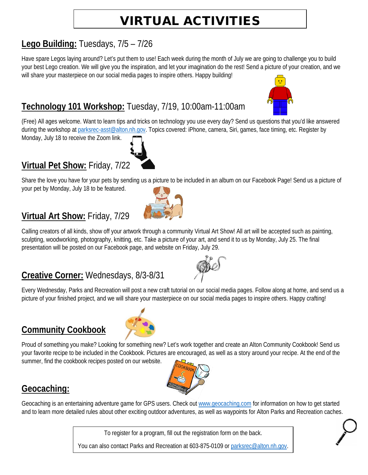# VIRTUAL ACTIVITIES

#### **Lego Building:** Tuesdays, 7/5 – 7/26

Have spare Legos laying around? Let's put them to use! Each week during the month of July we are going to challenge you to build your best Lego creation. We will give you the inspiration, and let your imagination do the rest! Send a picture of your creation, and we will share your masterpiece on our social media pages to inspire others. Happy building!

### **Technology 101 Workshop:** Tuesday, 7/19, 10:00am-11:00am

(Free) All ages welcome. Want to learn tips and tricks on technology you use every day? Send us questions that you'd like answered during the workshop at [parksrec-asst@alton.nh.gov.](mailto:parksrec-asst@alton.nh.gov) Topics covered: iPhone, camera, Siri, games, face timing, etc. Register by

Monday, July 18 to receive the Zoom link.

#### **Virtual Pet Show:** Friday, 7/22

Share the love you have for your pets by sending us a picture to be included in an album on our Facebook Page! Send us a picture of your pet by Monday, July 18 to be featured.

#### **Virtual Art Show:** Friday, 7/29

Calling creators of all kinds, show off your artwork through a community Virtual Art Show! All art will be accepted such as painting, sculpting, woodworking, photography, knitting, etc. Take a picture of your art, and send it to us by Monday, July 25. The final presentation will be posted on our Facebook page, and website on Friday, July 29.

#### **Creative Corner:** Wednesdays, 8/3-8/31

Every Wednesday, Parks and Recreation will post a new craft tutorial on our social media pages. Follow along at home, and send us a picture of your finished project, and we will share your masterpiece on our social media pages to inspire others. Happy crafting!

#### **Community Cookbook**

Proud of something you make? Looking for something new? Let's work together and create an Alton Community Cookbook! Send us your favorite recipe to be included in the Cookbook. Pictures are encouraged, as well as a story around your recipe. At the end of the summer, find the cookbook recipes posted on our website.

#### **Geocaching:**

Geocaching is an entertaining adventure game for GPS users. Check ou[t www.geocaching.com](http://www.geocaching.com/) for information on how to get started and to learn more detailed rules about other exciting outdoor adventures, as well as waypoints for Alton Parks and Recreation caches.

To register for a program, fill out the registration form on the back.





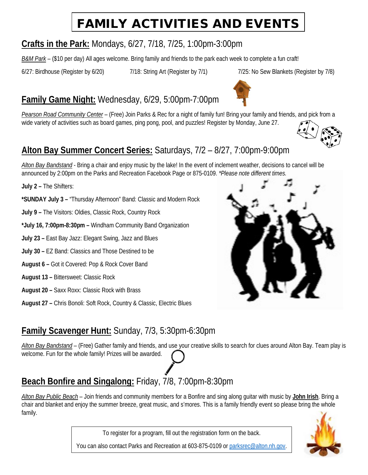# FAMILY ACTIVITIES AND EVENTS

#### **Crafts in the Park:** Mondays, 6/27, 7/18, 7/25, 1:00pm-3:00pm

*B&M Park* – (\$10 per day) All ages welcome. Bring family and friends to the park each week to complete a fun craft!

6/27: Birdhouse (Register by 6/20) 7/18: String Art (Register by 7/1) 7/25: No Sew Blankets (Register by 7/8)

## **Family Game Night:** Wednesday, 6/29, 5:00pm-7:00pm

*Pearson Road Community Center* – (Free) Join Parks & Rec for a night of family fun! Bring your family and friends, and pick from a wide variety of activities such as board games, ping pong, pool, and puzzles! Register by Monday, June 27.

#### **Alton Bay Summer Concert Series:** Saturdays, 7/2 – 8/27, 7:00pm-9:00pm

*Alton Bay Bandstand* - Bring a chair and enjoy music by the lake! In the event of inclement weather, decisions to cancel will be announced by 2:00pm on the Parks and Recreation Facebook Page or 875-0109. *\*Please note different times.*

**July 2 –** The Shifters:

**\*SUNDAY July 3 –** "Thursday Afternoon" Band: Classic and Modern Rock

- **July 9 –** The Visitors: Oldies, Classic Rock, Country Rock
- **\*July 16, 7:00pm-8:30pm –** Windham Community Band Organization
- **July 23 –** East Bay Jazz: Elegant Swing, Jazz and Blues
- **July 30 –** EZ Band: Classics and Those Destined to be
- **August 6 –** Got it Covered: Pop & Rock Cover Band
- **August 13 –** Bittersweet: Classic Rock
- **August 20 –** Saxx Roxx: Classic Rock with Brass
- **August 27 –** Chris Bonoli: Soft Rock, Country & Classic, Electric Blues

#### **Family Scavenger Hunt:** Sunday, 7/3, 5:30pm-6:30pm

*Alton Bay Bandstand* – (Free) Gather family and friends, and use your creative skills to search for clues around Alton Bay. Team play is welcome. Fun for the whole family! Prizes will be awarded.

## **Beach Bonfire and Singalong:** Friday, 7/8, 7:00pm-8:30pm

*Alton Bay Public Beach* – Join friends and community members for a Bonfire and sing along guitar with music by **John Irish**. Bring a chair and blanket and enjoy the summer breeze, great music, and s'mores. This is a family friendly event so please bring the whole family.

To register for a program, fill out the registration form on the back.



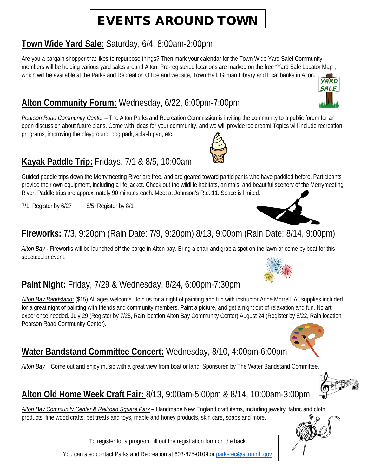# EVENTS AROUND TOWN

#### **Town Wide Yard Sale:** Saturday, 6/4, 8:00am-2:00pm

Are you a bargain shopper that likes to repurpose things? Then mark your calendar for the Town Wide Yard Sale! Community members will be holding various yard sales around Alton. Pre-registered locations are marked on the free "Yard Sale Locator Map", which will be available at the Parks and Recreation Office and website, Town Hall, Gilman Library and local banks in Alton.

#### **Alton Community Forum:** Wednesday, 6/22, 6:00pm-7:00pm

*Pearson Road Community Center* – The Alton Parks and Recreation Commission is inviting the community to a public forum for an open discussion about future plans. Come with ideas for your community, and we will provide ice cream! Topics will include recreation programs, improving the playground, dog park, splash pad, etc.

### **Kayak Paddle Trip:** Fridays, 7/1 & 8/5, 10:00am

Guided paddle trips down the Merrymeeting River are free, and are geared toward participants who have paddled before. Participants provide their own equipment, including a life jacket. Check out the wildlife habitats, animals, and beautiful scenery of the Merrymeeting River. Paddle trips are approximately 90 minutes each. Meet at Johnson's Rte. 11. Space is limited.

 $7/1$ : Register by  $6/27$  8/5: Register by 8/1

#### **Fireworks:** 7/3, 9:20pm (Rain Date: 7/9, 9:20pm) 8/13, 9:00pm (Rain Date: 8/14, 9:00pm)

*Alton Bay* - Fireworks will be launched off the barge in Alton bay. Bring a chair and grab a spot on the lawn or come by boat for this spectacular event.

#### **Paint Night:** Friday, 7/29 & Wednesday, 8/24, 6:00pm-7:30pm

*Alton Bay Bandstand:* (\$15) All ages welcome. Join us for a night of painting and fun with instructor Anne Morrell. All supplies included for a great night of painting with friends and community members. Paint a picture, and get a night out of relaxation and fun. No art experience needed. July 29 (Register by 7/25, Rain location Alton Bay Community Center) August 24 (Register by 8/22, Rain location Pearson Road Community Center).

#### **Water Bandstand Committee Concert:** Wednesday, 8/10, 4:00pm-6:00pm

*Alton Bay* – Come out and enjoy music with a great view from boat or land! Sponsored by The Water Bandstand Committee.

#### **Alton Old Home Week Craft Fair:** 8/13, 9:00am-5:00pm & 8/14, 10:00am-3:00pm

*Alton Bay Community Center & Railroad Square Park* – Handmade New England craft items, including jewelry, fabric and cloth products, fine wood crafts, pet treats and toys, maple and honey products, skin care, soaps and more.

To register for a program, fill out the registration form on the back.











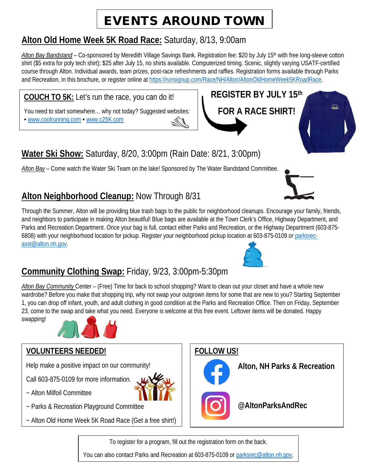# EVENTS AROUND TOWN

#### **Alton Old Home Week 5K Road Race:** Saturday, 8/13, 9:00am

Alton Bay Bandstand – Co-sponsored by Meredith Village Savings Bank. Registration fee: \$20 by July 15<sup>th</sup> with free long-sleeve cotton shirt (\$5 extra for poly tech shirt); \$25 after July 15, no shirts available. Computerized timing. Scenic, slightly varying USATF-certified course through Alton. Individual awards, team prizes, post-race refreshments and raffles. Registration forms available through Parks and Recreation, in this brochure, or register online a[t https://runsignup.com/Race/NH/Alton/AltonOldHomeWeek5KRoadRace.](https://runsignup.com/Race/NH/Alton/AltonOldHomeWeek5KRoadRace)

#### **COUCH TO 5K:** Let's run the race, you can do it!

You need to start somewhere... why not today? Suggested websites: ■ [www.coolrunning.com](http://www.coolrunning.com/) ■ [www.c25K.com](http://www.c25k.com/)

## **Water Ski Show:** Saturday, 8/20, 3:00pm (Rain Date: 8/21, 3:00pm)

*Alton Bay* – Come watch the Water Ski Team on the lake! Sponsored by The Water Bandstand Committee.

#### **Alton Neighborhood Cleanup:** Now Through 8/31

Through the Summer, Alton will be providing blue trash bags to the public for neighborhood cleanups. Encourage your family, friends, and neighbors to participate in making Alton beautiful! Blue bags are available at the Town Clerk's Office, Highway Department, and Parks and Recreation Department. Once your bag is full, contact either Parks and Recreation, or the Highway Department (603-875- 6808) with your neighborhood location for pickup. Register your neighborhood pickup location at 603-875-0109 or [parksrec](mailto:parksrec-asst@alton.nh.gov)[asst@alton.nh.gov.](mailto:parksrec-asst@alton.nh.gov)

#### **Community Clothing Swap:** Friday, 9/23, 3:00pm-5:30pm

*Alton Bay Community* Center – (Free) Time for back to school shopping? Want to clean out your closet and have a whole new wardrobe? Before you make that shopping trip, why not swap your outgrown items for some that are new to you? Starting September 1, you can drop off infant, youth, and adult clothing in good condition at the Parks and Recreation Office. Then on Friday, September 23, come to the swap and take what you need. Everyone is welcome at this free event. Leftover items will be donated. Happy swapping!



#### **VOLUNTEERS NEEDED!**

Help make a positive impact on our community!

Call 603-875-0109 for more information.

- ~ Alton Milfoil Committee
- ~ Parks & Recreation Playground Committee
- ~ Alton Old Home Week 5K Road Race (Get a free shirt!)

**FOLLOW US!**



**@AltonParksAndRec**

To register for a program, fill out the registration form on the back.

You can also contact Parks and Recreation at 603-875-0109 or [parksrec@alton.nh.gov.](mailto:parksrec@alton.nh.gov)



 $\widehat{\mathbb{R}}$ 



**REGISTER BY JULY 15th**

**FOR A RACE SHIRT!**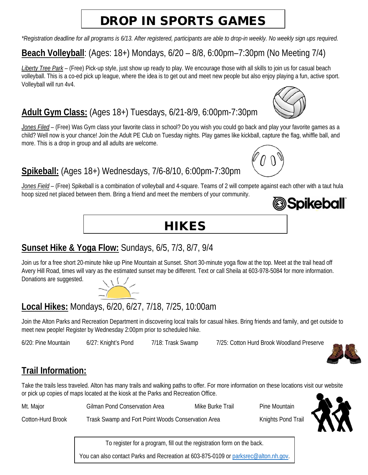# DROP IN SPORTS GAMES

*\*Registration deadline for all programs is 6/13. After registered, participants are able to drop-in weekly. No weekly sign ups required.* 

## **Beach Volleyball**: (Ages: 18+) Mondays, 6/20 – 8/8, 6:00pm–7:30pm (No Meeting 7/4)

*Liberty Tree Park* – (Free) Pick-up style, just show up ready to play. We encourage those with all skills to join us for casual beach volleyball. This is a co-ed pick up league, where the idea is to get out and meet new people but also enjoy playing a fun, active sport. Volleyball will run 4v4.

### **Adult Gym Class:** (Ages 18+) Tuesdays, 6/21-8/9, 6:00pm-7:30pm

*Jones Filed* – (Free) Was Gym class your favorite class in school? Do you wish you could go back and play your favorite games as a child? Well now is your chance! Join the Adult PE Club on Tuesday nights. Play games like kickball, capture the flag, whiffle ball, and more. This is a drop in group and all adults are welcome.

#### **Spikeball:** (Ages 18+) Wednesdays, 7/6-8/10, 6:00pm-7:30pm

*Jones Field* – (Free) Spikeball is a combination of volleyball and 4-square. Teams of 2 will compete against each other with a taut hula hoop sized net placed between them. Bring a friend and meet the members of your community. *Spikeball* 



#### **Sunset Hike & Yoga Flow:** Sundays, 6/5, 7/3, 8/7, 9/4

Join us for a free short 20-minute hike up Pine Mountain at Sunset. Short 30-minute yoga flow at the top. Meet at the trail head off Avery Hill Road, times will vary as the estimated sunset may be different. Text or call Sheila at 603-978-5084 for more information. Donations are suggested.  $\frac{11}{2}$ 

## **Local Hikes:** Mondays, 6/20, 6/27, 7/18, 7/25, 10:00am

Join the Alton Parks and Recreation Department in discovering local trails for casual hikes. Bring friends and family, and get outside to meet new people! Register by Wednesday 2:00pm prior to scheduled hike.

6/20: Pine Mountain 6/27: Knight's Pond 7/18: Trask Swamp 7/25: Cotton Hurd Brook Woodland Preserve

#### **Trail Information:**

Take the trails less traveled. Alton has many trails and walking paths to offer. For more information on these locations visit our website or pick up copies of maps located at the kiosk at the Parks and Recreation Office.

| Mt. Major         | <b>Gilman Pond Conservation Area</b>               | Mike Burke Trail | Pine Mountain      |  |
|-------------------|----------------------------------------------------|------------------|--------------------|--|
| Cotton-Hurd Brook | Trask Swamp and Fort Point Woods Conservation Area |                  | Knights Pond Trail |  |

To register for a program, fill out the registration form on the back.